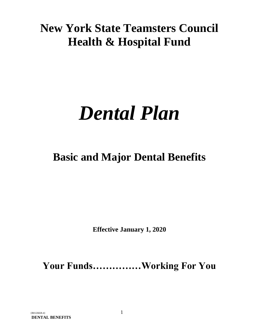# **New York State Teamsters Council Health & Hospital Fund**

# *Dental Plan*

# **Basic and Major Dental Benefits**

**Effective January 1, 2020**

**Your Funds……………Working For You**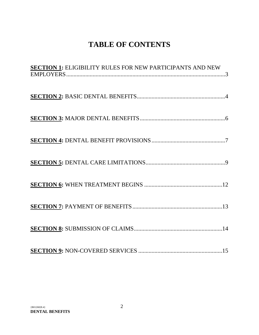# **TABLE OF CONTENTS**

| <b>SECTION 1:</b> ELIGIBILITY RULES FOR NEW PARTICIPANTS AND NEW |
|------------------------------------------------------------------|
|                                                                  |
|                                                                  |
|                                                                  |
|                                                                  |
|                                                                  |
|                                                                  |
|                                                                  |
|                                                                  |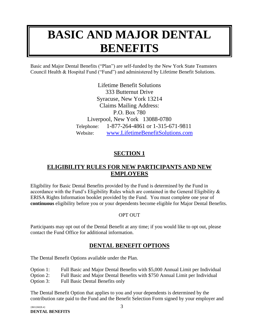# **BASIC AND MAJOR DENTAL BENEFITS**

Basic and Major Dental Benefits ("Plan") are self-funded by the New York State Teamsters Council Health & Hospital Fund ("Fund") and administered by Lifetime Benefit Solutions.

> Lifetime Benefit Solutions 333 Butternut Drive Syracuse, New York 13214 Claims Mailing Address: P.O. Box 780 Liverpool, New York 13088-0780 Telephone: 1-877-264-4861 or 1-315-671-9811 Website: [www.LifetimeBenefitSolutions.com](http://www.lifetimebenefitsolutions.com/)

# **SECTION 1**

# <span id="page-2-0"></span>**ELIGIBILITY RULES FOR NEW PARTICIPANTS AND NEW EMPLOYERS**

Eligibility for Basic Dental Benefits provided by the Fund is determined by the Fund in accordance with the Fund's Eligibility Rules which are contained in the General Eligibility & ERISA Rights Information booklet provided by the Fund. You must complete one year of **continuous** eligibility before you or your dependents become eligible for Major Dental Benefits.

#### OPT OUT

Participants may opt out of the Dental Benefit at any time; if you would like to opt out, please contact the Fund Office for additional information.

# **DENTAL BENEFIT OPTIONS**

The Dental Benefit Options available under the Plan.

Option 1: Full Basic and Major Dental Benefits with \$5,000 Annual Limit per Individual

Option 2: Full Basic and Major Dental Benefits with \$750 Annual Limit per Individual

Option 3: Full Basic Dental Benefits only

The Dental Benefit Option that applies to you and your dependents is determined by the contribution rate paid to the Fund and the Benefit Selection Form signed by your employer and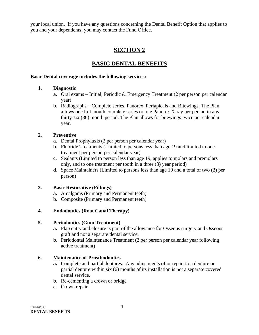your local union. If you have any questions concerning the Dental Benefit Option that applies to you and your dependents, you may contact the Fund Office.

# **SECTION 2**

# **BASIC DENTAL BENEFITS**

#### <span id="page-3-0"></span>**Basic Dental coverage includes the following services:**

#### **1. Diagnostic**

- **a.** Oral exams Initial, Periodic & Emergency Treatment (2 per person per calendar year)
- **b.** Radiographs Complete series, Panorex, Periapicals and Bitewings. The Plan allows one full mouth complete series or one Panorex X-ray per person in any thirty-six (36) month period. The Plan allows for bitewings twice per calendar year.

#### **2. Preventive**

- **a.** Dental Prophylaxis (2 per person per calendar year)
- **b.** Fluoride Treatments (Limited to persons less than age 19 and limited to one treatment per person per calendar year)
- **c.** Sealants (Limited to person less than age 19, applies to molars and premolars only, and to one treatment per tooth in a three (3) year period)
- **d.** Space Maintainers (Limited to persons less than age 19 and a total of two (2) per person)

#### **3. Basic Restorative (Fillings)**

- **a.** Amalgams (Primary and Permanent teeth)
- **b.** Composite (Primary and Permanent teeth)

#### **4. Endodontics (Root Canal Therapy)**

#### **5. Periodontics (Gum Treatment)**

- **a.** Flap entry and closure is part of the allowance for Osseous surgery and Osseous graft and not a separate dental service.
- **b.** Periodontal Maintenance Treatment (2 per person per calendar year following active treatment)

#### **6. Maintenance of Prosthodontics**

- **a.** Complete and partial dentures. Any adjustments of or repair to a denture or partial denture within six (6) months of its installation is not a separate covered dental service.
- **b.** Re-cementing a crown or bridge
- **c.** Crown repair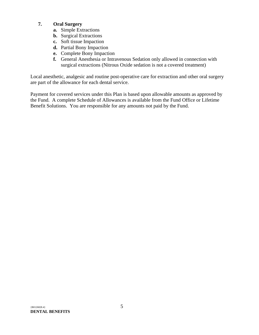#### **7. Oral Surgery**

- **a.** Simple Extractions
- **b.** Surgical Extractions
- **c.** Soft tissue Impaction
- **d.** Partial Bony Impaction
- **e.** Complete Bony Impaction
- **f.** General Anesthesia or Intravenous Sedation only allowed in connection with surgical extractions (Nitrous Oxide sedation is not a covered treatment)

Local anesthetic, analgesic and routine post-operative care for extraction and other oral surgery are part of the allowance for each dental service.

Payment for covered services under this Plan is based upon allowable amounts as approved by the Fund. A complete Schedule of Allowances is available from the Fund Office or Lifetime Benefit Solutions. You are responsible for any amounts not paid by the Fund.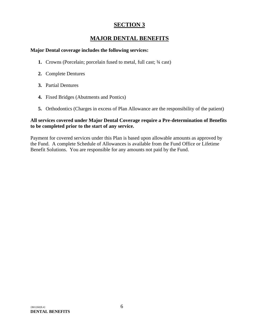# **MAJOR DENTAL BENEFITS**

#### <span id="page-5-0"></span>**Major Dental coverage includes the following services:**

- **1.** Crowns (Porcelain; porcelain fused to metal, full cast; ¾ cast)
- **2.** Complete Dentures
- **3.** Partial Dentures
- **4.** Fixed Bridges (Abutments and Pontics)
- **5.** Orthodontics (Charges in excess of Plan Allowance are the responsibility of the patient)

#### **All services covered under Major Dental Coverage require a Pre-determination of Benefits to be completed prior to the start of any service.**

Payment for covered services under this Plan is based upon allowable amounts as approved by the Fund. A complete Schedule of Allowances is available from the Fund Office or Lifetime Benefit Solutions. You are responsible for any amounts not paid by the Fund.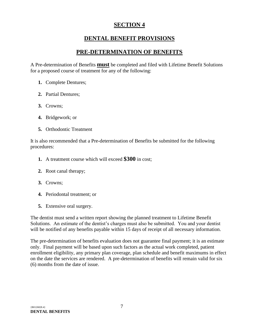# **DENTAL BENEFIT PROVISIONS**

# **PRE-DETERMINATION OF BENEFITS**

<span id="page-6-0"></span>A Pre-determination of Benefits **must** be completed and filed with Lifetime Benefit Solutions for a proposed course of treatment for any of the following:

- **1.** Complete Dentures;
- **2.** Partial Dentures;
- **3.** Crowns;
- **4.** Bridgework; or
- **5.** Orthodontic Treatment

It is also recommended that a Pre-determination of Benefits be submitted for the following procedures:

- **1.** A treatment course which will exceed **\$300** in cost;
- **2.** Root canal therapy;
- **3.** Crowns;
- **4.** Periodontal treatment; or
- **5.** Extensive oral surgery.

The dentist must send a written report showing the planned treatment to Lifetime Benefit Solutions. An estimate of the dentist's charges must also be submitted. You and your dentist will be notified of any benefits payable within 15 days of receipt of all necessary information.

The pre-determination of benefits evaluation does not guarantee final payment; it is an estimate only. Final payment will be based upon such factors as the actual work completed, patient enrollment eligibility, any primary plan coverage, plan schedule and benefit maximums in effect on the date the services are rendered. A pre-determination of benefits will remain valid for six (6) months from the date of issue.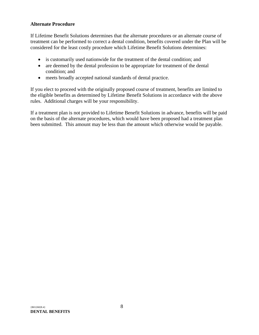#### **Alternate Procedure**

If Lifetime Benefit Solutions determines that the alternate procedures or an alternate course of treatment can be performed to correct a dental condition, benefits covered under the Plan will be considered for the least costly procedure which Lifetime Benefit Solutions determines:

- is customarily used nationwide for the treatment of the dental condition; and
- are deemed by the dental profession to be appropriate for treatment of the dental condition; and
- meets broadly accepted national standards of dental practice.

If you elect to proceed with the originally proposed course of treatment, benefits are limited to the eligible benefits as determined by Lifetime Benefit Solutions in accordance with the above rules. Additional charges will be your responsibility.

If a treatment plan is not provided to Lifetime Benefit Solutions in advance, benefits will be paid on the basis of the alternate procedures, which would have been proposed had a treatment plan been submitted. This amount may be less than the amount which otherwise would be payable.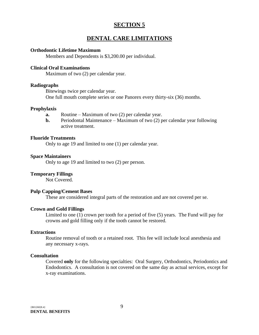### **DENTAL CARE LIMITATIONS**

#### <span id="page-8-0"></span>**Orthodontic Lifetime Maximum**

Members and Dependents is \$3,200.00 per individual.

#### **Clinical Oral Examinations**

Maximum of two (2) per calendar year.

#### **Radiographs**

Bitewings twice per calendar year. One full mouth complete series or one Panorex every thirty-six (36) months.

#### **Prophylaxis**

- **a.** Routine Maximum of two (2) per calendar year.
- **b.** Periodontal Maintenance Maximum of two (2) per calendar year following active treatment.

#### **Fluoride Treatments**

Only to age 19 and limited to one (1) per calendar year.

#### **Space Maintainers**

Only to age 19 and limited to two (2) per person.

#### **Temporary Fillings**

Not Covered.

#### **Pulp Capping/Cement Bases**

These are considered integral parts of the restoration and are not covered per se.

#### **Crown and Gold Fillings**

Limited to one (1) crown per tooth for a period of five (5) years. The Fund will pay for crowns and gold filling only if the tooth cannot be restored.

#### **Extractions**

Routine removal of tooth or a retained root. This fee will include local anesthesia and any necessary x-rays.

#### **Consultation**

Covered **only** for the following specialties: Oral Surgery, Orthodontics, Periodontics and Endodontics. A consultation is not covered on the same day as actual services, except for x-ray examinations.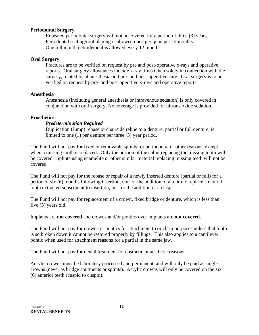#### **Periodontal Surgery**

Repeated periodontal surgery will not be covered for a period of three (3) years. Periodontal scaling/root planing is allowed once per quad per 12 months. One full mouth debridement is allowed every 12 months.

#### **Oral Surgery**

Fractures are to be verified on request by pre and post-operative x-rays and operative reports. Oral surgery allowances include x-ray films taken solely in connection with the surgery, related local anesthesia and pre- and post-operative care. Oral surgery is to be verified on request by pre- and post-operative x-rays and operative reports.

#### **Anesthesia**

Anesthesia (including general anesthesia or intravenous sedation) is only covered in conjunction with oral surgery. No coverage is provided for nitrous oxide sedation.

#### **Prosthetics**

#### *Predetermination Required*

Duplication (Jump) rebase or chairside reline to a denture, partial or full denture, is limited to one (1) per denture per three (3) year period.

The Fund will not pay for fixed or removable splints for periodontal or other reasons, except when a missing tooth is replaced. Only the portion of the splint replacing the missing tooth will be covered. Splints using enamelite or other similar material replacing missing teeth will not be covered.

The Fund will not pay for the rebase or repair of a newly inserted denture (partial or full) for a period of six (6) months following insertion, nor for the addition of a tooth to replace a natural tooth extracted subsequent to insertion, nor for the addition of a clasp.

The Fund will not pay for replacement of a crown, fixed bridge or denture, which is less than five (5) years old.

Implants are **not covered** and crowns and/or pontics over implants are **not covered**.

The Fund will not pay for crowns or pontics for attachment to or clasp purposes unless that tooth is so broken down it cannot be restored properly by fillings. This also applies to a cantilever pontic when used for attachment reasons for a partial in the same jaw.

The Fund will not pay for dental treatment for cosmetic or aesthetic reasons.

Acrylic crowns must be laboratory processed and permanent, and will only be paid as single crowns (never as bridge abutments or splints). Acrylic crowns will only be covered on the six (6) anterior teeth (cuspid to cuspid).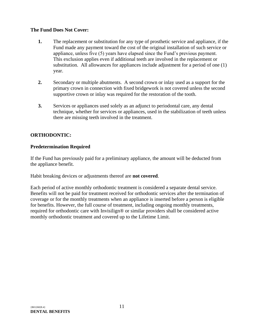#### **The Fund Does Not Cover:**

- **1.** The replacement or substitution for any type of prosthetic service and appliance, if the Fund made any payment toward the cost of the original installation of such service or appliance, unless five (5) years have elapsed since the Fund's previous payment. This exclusion applies even if additional teeth are involved in the replacement or substitution. All allowances for appliances include adjustment for a period of one (1) year.
- **2.** Secondary or multiple abutments. A second crown or inlay used as a support for the primary crown in connection with fixed bridgework is not covered unless the second supportive crown or inlay was required for the restoration of the tooth.
- **3.** Services or appliances used solely as an adjunct to periodontal care, any dental technique, whether for services or appliances, used in the stabilization of teeth unless there are missing teeth involved in the treatment.

#### **ORTHODONTIC:**

#### **Predetermination Required**

If the Fund has previously paid for a preliminary appliance, the amount will be deducted from the appliance benefit.

Habit breaking devices or adjustments thereof are **not covered**.

Each period of active monthly orthodontic treatment is considered a separate dental service. Benefits will not be paid for treatment received for orthodontic services after the termination of coverage or for the monthly treatments when an appliance is inserted before a person is eligible for benefits. However, the full course of treatment, including ongoing monthly treatments, required for orthodontic care with Invisilign® or similar providers shall be considered active monthly orthodontic treatment and covered up to the Lifetime Limit.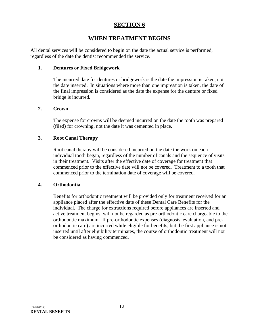# **WHEN TREATMENT BEGINS**

<span id="page-11-0"></span>All dental services will be considered to begin on the date the actual service is performed, regardless of the date the dentist recommended the service.

#### **1. Dentures or Fixed Bridgework**

The incurred date for dentures or bridgework is the date the impression is taken, not the date inserted. In situations where more than one impression is taken, the date of the final impression is considered as the date the expense for the denture or fixed bridge is incurred.

#### **2. Crown**

The expense for crowns will be deemed incurred on the date the tooth was prepared (filed) for crowning, not the date it was cemented in place.

#### **3. Root Canal Therapy**

Root canal therapy will be considered incurred on the date the work on each individual tooth began, regardless of the number of canals and the sequence of visits in their treatment. Visits after the effective date of coverage for treatment that commenced prior to the effective date will not be covered. Treatment to a tooth that commenced prior to the termination date of coverage will be covered.

#### **4. Orthodontia**

Benefits for orthodontic treatment will be provided only for treatment received for an appliance placed after the effective date of these Dental Care Benefits for the individual. The charge for extractions required before appliances are inserted and active treatment begins, will not be regarded as pre-orthodontic care chargeable to the orthodontic maximum. If pre-orthodontic expenses (diagnosis, evaluation, and preorthodontic care) are incurred while eligible for benefits, but the first appliance is not inserted until after eligibility terminates, the course of orthodontic treatment will not be considered as having commenced.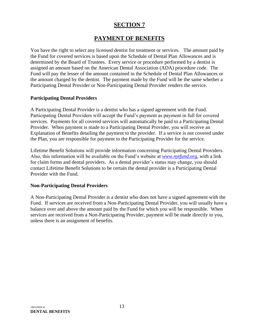# **PAYMENT OF BENEFITS**

<span id="page-12-0"></span>You have the right to select any licensed dentist for treatment or services. The amount paid by the Fund for covered services is based upon the Schedule of Dental Plan Allowances and is determined by the Board of Trustees. Every service or procedure performed by a dentist is assigned an amount based on the American Dental Association (ADA) procedure code. The Fund will pay the lesser of the amount contained in the Schedule of Dental Plan Allowances or the amount charged by the dentist. The payment made by the Fund will be the same whether a Participating Dental Provider or Non-Participating Dental Provider renders the service.

#### **Participating Dental Providers**

A Participating Dental Provider is a dentist who has a signed agreement with the Fund. Participating Dental Providers will accept the Fund's payment as payment in full for covered services. Payments for all covered services will automatically be paid to a Participating Dental Provider. When payment is made to a Participating Dental Provider, you will receive an Explanation of Benefits detailing the payment to the provider. If a service is not covered under the Plan, you are responsible for payment to the Participating Provider for the service.

Lifetime Benefit Solutions will provide information concerning Participating Dental Providers. Also, this information will be available on the Fund's website at *[www.nytfund.org](http://www.nytfund.org/)*, with a link for claim forms and dental providers. As a dental provider's status may change, you should contact Lifetime Benefit Solutions to be certain the dental provider is a Participating Dental Provider with the Fund.

#### **Non-Participating Dental Providers**

A Non-Participating Dental Provider is a dentist who does not have a signed agreement with the Fund. If services are received from a Non-Participating Dental Provider, you will usually have a balance over and above the amount paid by the Fund for which you will be responsible. When services are received from a Non-Participating Provider, payment will be made directly to you, unless there is an assignment of benefits.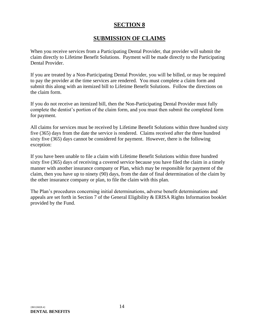# **SUBMISSION OF CLAIMS**

<span id="page-13-0"></span>When you receive services from a Participating Dental Provider, that provider will submit the claim directly to Lifetime Benefit Solutions. Payment will be made directly to the Participating Dental Provider.

If you are treated by a Non-Participating Dental Provider, you will be billed, or may be required to pay the provider at the time services are rendered. You must complete a claim form and submit this along with an itemized bill to Lifetime Benefit Solutions. Follow the directions on the claim form.

If you do not receive an itemized bill, then the Non-Participating Dental Provider must fully complete the dentist's portion of the claim form, and you must then submit the completed form for payment.

All claims for services must be received by Lifetime Benefit Solutions within three hundred sixty five (365) days from the date the service is rendered. Claims received after the three hundred sixty five (365) days cannot be considered for payment. However, there is the following exception:

If you have been unable to file a claim with Lifetime Benefit Solutions within three hundred sixty five (365) days of receiving a covered service because you have filed the claim in a timely manner with another insurance company or Plan, which may be responsible for payment of the claim, then you have up to ninety (90) days, from the date of final determination of the claim by the other insurance company or plan, to file the claim with this plan.

The Plan's procedures concerning initial determinations, adverse benefit determinations and appeals are set forth in Section 7 of the General Eligibility & ERISA Rights Information booklet provided by the Fund.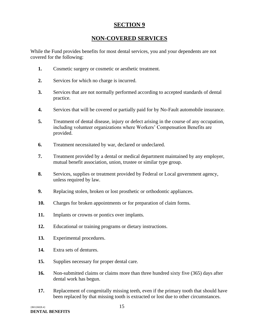# **NON-COVERED SERVICES**

<span id="page-14-0"></span>While the Fund provides benefits for most dental services, you and your dependents are not covered for the following:

- **1.** Cosmetic surgery or cosmetic or aesthetic treatment.
- **2.** Services for which no charge is incurred.
- **3.** Services that are not normally performed according to accepted standards of dental practice.
- **4.** Services that will be covered or partially paid for by No-Fault automobile insurance.
- **5.** Treatment of dental disease, injury or defect arising in the course of any occupation, including volunteer organizations where Workers' Compensation Benefits are provided.
- **6.** Treatment necessitated by war, declared or undeclared.
- **7.** Treatment provided by a dental or medical department maintained by any employer, mutual benefit association, union, trustee or similar type group.
- **8.** Services, supplies or treatment provided by Federal or Local government agency, unless required by law.
- **9.** Replacing stolen, broken or lost prosthetic or orthodontic appliances.
- **10.** Charges for broken appointments or for preparation of claim forms.
- **11.** Implants or crowns or pontics over implants.
- **12.** Educational or training programs or dietary instructions.
- **13.** Experimental procedures.
- **14.** Extra sets of dentures.
- **15.** Supplies necessary for proper dental care.
- **16.** Non-submitted claims or claims more than three hundred sixty five (365) days after dental work has begun.
- **17.** Replacement of congenitally missing teeth, even if the primary tooth that should have been replaced by that missing tooth is extracted or lost due to other circumstances.